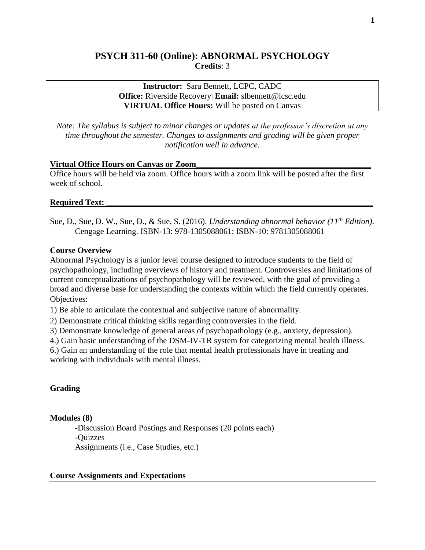# **PSYCH 311-60 (Online): ABNORMAL PSYCHOLOGY Credits**: 3

## **Instructor:** Sara Bennett, LCPC, CADC **Office:** Riverside Recovery| **Email:** slbennett@lcsc.edu **VIRTUAL Office Hours:** Will be posted on Canvas

*Note: The syllabus is subject to minor changes or updates at the professor's discretion at any time throughout the semester. Changes to assignments and grading will be given proper notification well in advance.* 

#### **Virtual Office Hours on Canvas or Zoom\_\_\_\_\_\_\_\_\_\_\_\_\_\_\_\_\_\_\_\_\_\_\_\_\_\_\_\_\_\_\_\_\_\_\_\_\_\_\_\_\_\_**

Office hours will be held via zoom. Office hours with a zoom link will be posted after the first week of school.

## **Required Text:**

Sue, D., Sue, D. W., Sue, D., & Sue, S. (2016). *Understanding abnormal behavior (11th Edition)*. Cengage Learning. ISBN-13: 978-1305088061; ISBN-10: 9781305088061

#### **Course Overview**

Abnormal Psychology is a junior level course designed to introduce students to the field of psychopathology, including overviews of history and treatment. Controversies and limitations of current conceptualizations of psychopathology will be reviewed, with the goal of providing a broad and diverse base for understanding the contexts within which the field currently operates. Objectives:

1) Be able to articulate the contextual and subjective nature of abnormality.

2) Demonstrate critical thinking skills regarding controversies in the field.

3) Demonstrate knowledge of general areas of psychopathology (e.g., anxiety, depression).

4.) Gain basic understanding of the DSM-IV-TR system for categorizing mental health illness.

6.) Gain an understanding of the role that mental health professionals have in treating and working with individuals with mental illness.

## **Grading**

## **Modules (8)**

-Discussion Board Postings and Responses (20 points each) -Quizzes Assignments (i.e., Case Studies, etc.)

#### **Course Assignments and Expectations**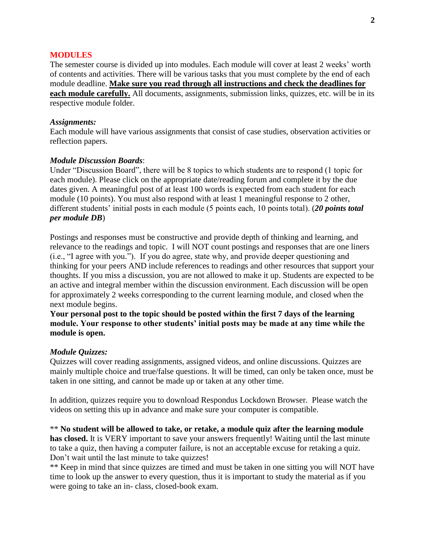#### **MODULES**

The semester course is divided up into modules. Each module will cover at least 2 weeks' worth of contents and activities. There will be various tasks that you must complete by the end of each module deadline. **Make sure you read through all instructions and check the deadlines for each module carefully.** All documents, assignments, submission links, quizzes, etc. will be in its respective module folder.

#### *Assignments:*

Each module will have various assignments that consist of case studies, observation activities or reflection papers.

#### *Module Discussion Boards*:

Under "Discussion Board", there will be 8 topics to which students are to respond (1 topic for each module). Please click on the appropriate date/reading forum and complete it by the due dates given. A meaningful post of at least 100 words is expected from each student for each module (10 points). You must also respond with at least 1 meaningful response to 2 other, different students' initial posts in each module (5 points each, 10 points total). (*20 points total per module DB*)

Postings and responses must be constructive and provide depth of thinking and learning, and relevance to the readings and topic. I will NOT count postings and responses that are one liners (i.e., "I agree with you."). If you do agree, state why, and provide deeper questioning and thinking for your peers AND include references to readings and other resources that support your thoughts. If you miss a discussion, you are not allowed to make it up. Students are expected to be an active and integral member within the discussion environment. Each discussion will be open for approximately 2 weeks corresponding to the current learning module, and closed when the next module begins.

**Your personal post to the topic should be posted within the first 7 days of the learning module. Your response to other students' initial posts may be made at any time while the module is open.** 

#### *Module Quizzes:*

Quizzes will cover reading assignments, assigned videos, and online discussions. Quizzes are mainly multiple choice and true/false questions. It will be timed, can only be taken once, must be taken in one sitting, and cannot be made up or taken at any other time.

In addition, quizzes require you to download Respondus Lockdown Browser. Please watch the videos on setting this up in advance and make sure your computer is compatible.

\*\* **No student will be allowed to take, or retake, a module quiz after the learning module has closed.** It is VERY important to save your answers frequently! Waiting until the last minute to take a quiz, then having a computer failure, is not an acceptable excuse for retaking a quiz. Don't wait until the last minute to take quizzes!

\*\* Keep in mind that since quizzes are timed and must be taken in one sitting you will NOT have time to look up the answer to every question, thus it is important to study the material as if you were going to take an in- class, closed-book exam.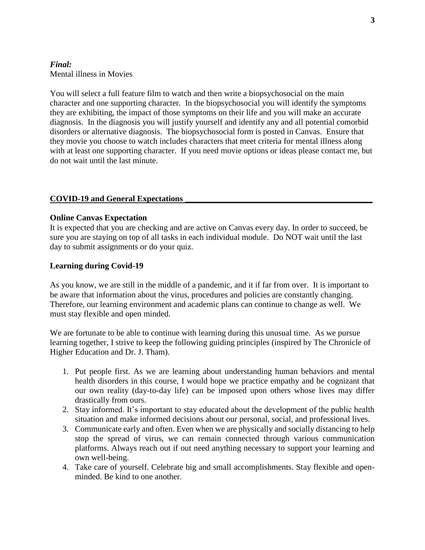## *Final:* Mental illness in Movies

You will select a full feature film to watch and then write a biopsychosocial on the main character and one supporting character. In the biopsychosocial you will identify the symptoms they are exhibiting, the impact of those symptoms on their life and you will make an accurate diagnosis. In the diagnosis you will justify yourself and identify any and all potential comorbid disorders or alternative diagnosis. The biopsychosocial form is posted in Canvas. Ensure that they movie you choose to watch includes characters that meet criteria for mental illness along with at least one supporting character. If you need movie options or ideas please contact me, but do not wait until the last minute.

## **COVID-19 and General Expectations \_\_\_\_\_\_\_\_\_\_\_\_\_\_\_\_\_\_\_\_\_\_\_\_\_\_\_\_\_\_\_\_\_\_\_\_\_\_\_\_\_\_\_\_\_**

## **Online Canvas Expectation**

It is expected that you are checking and are active on Canvas every day. In order to succeed, be sure you are staying on top of all tasks in each individual module. Do NOT wait until the last day to submit assignments or do your quiz.

## **Learning during Covid-19**

As you know, we are still in the middle of a pandemic, and it if far from over. It is important to be aware that information about the virus, procedures and policies are constantly changing. Therefore, our learning environment and academic plans can continue to change as well. We must stay flexible and open minded.

We are fortunate to be able to continue with learning during this unusual time. As we pursue learning together, I strive to keep the following guiding principles (inspired by The Chronicle of Higher Education and Dr. J. Tham).

- 1. Put people first. As we are learning about understanding human behaviors and mental health disorders in this course, I would hope we practice empathy and be cognizant that our own reality (day-to-day life) can be imposed upon others whose lives may differ drastically from ours.
- 2. Stay informed. It's important to stay educated about the development of the public health situation and make informed decisions about our personal, social, and professional lives.
- 3. Communicate early and often. Even when we are physically and socially distancing to help stop the spread of virus, we can remain connected through various communication platforms. Always reach out if out need anything necessary to support your learning and own well-being.
- 4. Take care of yourself. Celebrate big and small accomplishments. Stay flexible and openminded. Be kind to one another.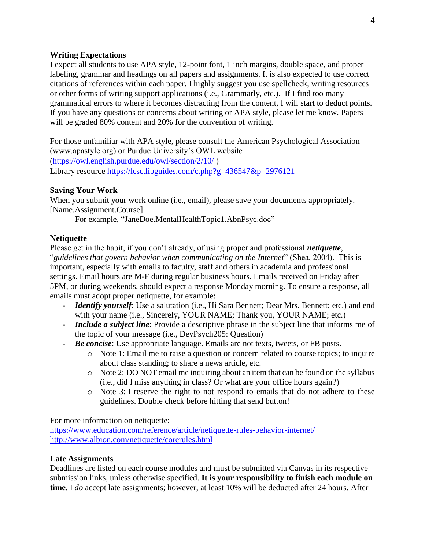## **Writing Expectations**

I expect all students to use APA style, 12-point font, 1 inch margins, double space, and proper labeling, grammar and headings on all papers and assignments. It is also expected to use correct citations of references within each paper. I highly suggest you use spellcheck, writing resources or other forms of writing support applications (i.e., Grammarly, etc.). If I find too many grammatical errors to where it becomes distracting from the content, I will start to deduct points. If you have any questions or concerns about writing or APA style, please let me know. Papers will be graded 80% content and 20% for the convention of writing.

For those unfamiliar with APA style, please consult the American Psychological Association (www.apastyle.org) or Purdue University's OWL website [\(https://owl.english.purdue.edu/owl/section/2/10/](https://owl.english.purdue.edu/owl/section/2/10/) ) Library resource<https://lcsc.libguides.com/c.php?g=436547&p=2976121>

## **Saving Your Work**

When you submit your work online (i.e., email), please save your documents appropriately. [Name.Assignment.Course]

For example, "JaneDoe.MentalHealthTopic1.AbnPsyc.doc"

## **Netiquette**

Please get in the habit, if you don't already, of using proper and professional *netiquette*, "*guidelines that govern behavior when communicating on the Internet*" (Shea, 2004). This is important, especially with emails to faculty, staff and others in academia and professional settings. Email hours are M-F during regular business hours. Emails received on Friday after 5PM, or during weekends, should expect a response Monday morning. To ensure a response, all emails must adopt proper netiquette, for example:

- *Identify yourself*: Use a salutation (i.e., Hi Sara Bennett; Dear Mrs. Bennett; etc.) and end with your name (i.e., Sincerely, YOUR NAME; Thank you, YOUR NAME; etc.)
- *Include a subject line*: Provide a descriptive phrase in the subject line that informs me of the topic of your message (i.e., DevPsych205: Question)
- *Be concise*: Use appropriate language. Emails are not texts, tweets, or FB posts.
	- o Note 1: Email me to raise a question or concern related to course topics; to inquire about class standing; to share a news article, etc.
	- o Note 2: DO NOT email me inquiring about an item that can be found on the syllabus (i.e., did I miss anything in class? Or what are your office hours again?)
	- o Note 3: I reserve the right to not respond to emails that do not adhere to these guidelines. Double check before hitting that send button!

For more information on netiquette:

<https://www.education.com/reference/article/netiquette-rules-behavior-internet/> <http://www.albion.com/netiquette/corerules.html>

## **Late Assignments**

Deadlines are listed on each course modules and must be submitted via Canvas in its respective submission links, unless otherwise specified. **It is your responsibility to finish each module on time**. I *do* accept late assignments; however, at least 10% will be deducted after 24 hours. After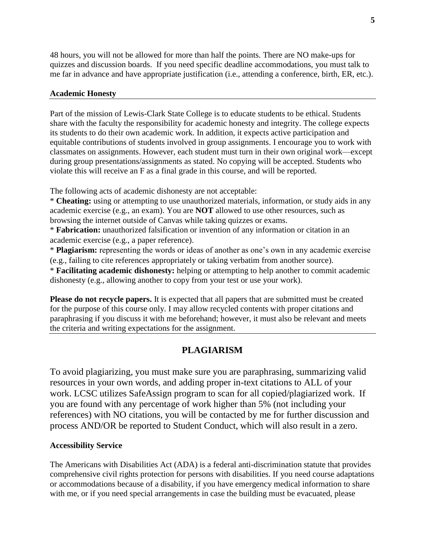48 hours, you will not be allowed for more than half the points. There are NO make-ups for quizzes and discussion boards. If you need specific deadline accommodations, you must talk to me far in advance and have appropriate justification (i.e., attending a conference, birth, ER, etc.).

## **Academic Honesty**

Part of the mission of Lewis-Clark State College is to educate students to be ethical. Students share with the faculty the responsibility for academic honesty and integrity. The college expects its students to do their own academic work. In addition, it expects active participation and equitable contributions of students involved in group assignments. I encourage you to work with classmates on assignments. However, each student must turn in their own original work—except during group presentations/assignments as stated. No copying will be accepted. Students who violate this will receive an F as a final grade in this course, and will be reported.

The following acts of academic dishonesty are not acceptable:

\* **Cheating:** using or attempting to use unauthorized materials, information, or study aids in any academic exercise (e.g., an exam). You are **NOT** allowed to use other resources, such as browsing the internet outside of Canvas while taking quizzes or exams.

\* **Fabrication:** unauthorized falsification or invention of any information or citation in an academic exercise (e.g., a paper reference).

\* **Plagiarism:** representing the words or ideas of another as one's own in any academic exercise (e.g., failing to cite references appropriately or taking verbatim from another source).

\* **Facilitating academic dishonesty:** helping or attempting to help another to commit academic dishonesty (e.g., allowing another to copy from your test or use your work).

**Please do not recycle papers.** It is expected that all papers that are submitted must be created for the purpose of this course only. I may allow recycled contents with proper citations and paraphrasing if you discuss it with me beforehand; however, it must also be relevant and meets the criteria and writing expectations for the assignment.

# **PLAGIARISM**

To avoid plagiarizing, you must make sure you are paraphrasing, summarizing valid resources in your own words, and adding proper in-text citations to ALL of your work. LCSC utilizes SafeAssign program to scan for all copied/plagiarized work. If you are found with any percentage of work higher than 5% (not including your references) with NO citations, you will be contacted by me for further discussion and process AND/OR be reported to Student Conduct, which will also result in a zero.

## **Accessibility Service**

The Americans with Disabilities Act (ADA) is a federal anti-discrimination statute that provides comprehensive civil rights protection for persons with disabilities. If you need course adaptations or accommodations because of a disability, if you have emergency medical information to share with me, or if you need special arrangements in case the building must be evacuated, please